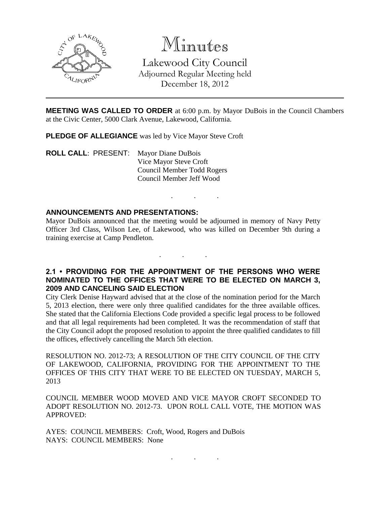

# Minutes

Lakewood City Council Adjourned Regular Meeting held December 18, 2012

**MEETING WAS CALLED TO ORDER** at 6:00 p.m. by Mayor DuBois in the Council Chambers at the Civic Center, 5000 Clark Avenue, Lakewood, California.

. . .

**PLEDGE OF ALLEGIANCE** was led by Vice Mayor Steve Croft

**ROLL CALL**: PRESENT: Mayor Diane DuBois Vice Mayor Steve Croft Council Member Todd Rogers Council Member Jeff Wood

#### **ANNOUNCEMENTS AND PRESENTATIONS:**

Mayor DuBois announced that the meeting would be adjourned in memory of Navy Petty Officer 3rd Class, Wilson Lee, of Lakewood, who was killed on December 9th during a training exercise at Camp Pendleton.

**2.1 • PROVIDING FOR THE APPOINTMENT OF THE PERSONS WHO WERE NOMINATED TO THE OFFICES THAT WERE TO BE ELECTED ON MARCH 3, 2009 AND CANCELING SAID ELECTION**

. . .

City Clerk Denise Hayward advised that at the close of the nomination period for the March 5, 2013 election, there were only three qualified candidates for the three available offices. She stated that the California Elections Code provided a specific legal process to be followed and that all legal requirements had been completed. It was the recommendation of staff that the City Council adopt the proposed resolution to appoint the three qualified candidates to fill the offices, effectively cancelling the March 5th election.

RESOLUTION NO. 2012-73; A RESOLUTION OF THE CITY COUNCIL OF THE CITY OF LAKEWOOD, CALIFORNIA, PROVIDING FOR THE APPOINTMENT TO THE OFFICES OF THIS CITY THAT WERE TO BE ELECTED ON TUESDAY, MARCH 5, 2013

COUNCIL MEMBER WOOD MOVED AND VICE MAYOR CROFT SECONDED TO ADOPT RESOLUTION NO. 2012-73. UPON ROLL CALL VOTE, THE MOTION WAS APPROVED:

. . .

AYES: COUNCIL MEMBERS: Croft, Wood, Rogers and DuBois NAYS: COUNCIL MEMBERS: None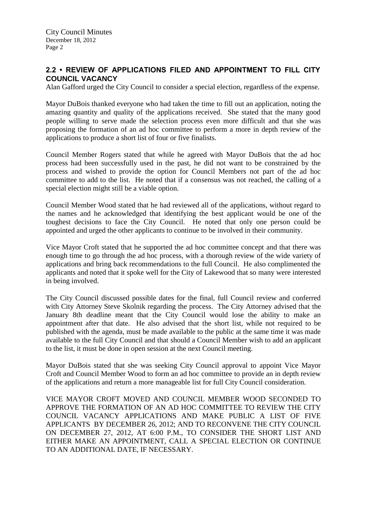## **2.2 • REVIEW OF APPLICATIONS FILED AND APPOINTMENT TO FILL CITY COUNCIL VACANCY**

Alan Gafford urged the City Council to consider a special election, regardless of the expense.

Mayor DuBois thanked everyone who had taken the time to fill out an application, noting the amazing quantity and quality of the applications received. She stated that the many good people willing to serve made the selection process even more difficult and that she was proposing the formation of an ad hoc committee to perform a more in depth review of the applications to produce a short list of four or five finalists.

Council Member Rogers stated that while he agreed with Mayor DuBois that the ad hoc process had been successfully used in the past, he did not want to be constrained by the process and wished to provide the option for Council Members not part of the ad hoc committee to add to the list. He noted that if a consensus was not reached, the calling of a special election might still be a viable option.

Council Member Wood stated that he had reviewed all of the applications, without regard to the names and he acknowledged that identifying the best applicant would be one of the toughest decisions to face the City Council. He noted that only one person could be appointed and urged the other applicants to continue to be involved in their community.

Vice Mayor Croft stated that he supported the ad hoc committee concept and that there was enough time to go through the ad hoc process, with a thorough review of the wide variety of applications and bring back recommendations to the full Council. He also complimented the applicants and noted that it spoke well for the City of Lakewood that so many were interested in being involved.

The City Council discussed possible dates for the final, full Council review and conferred with City Attorney Steve Skolnik regarding the process. The City Attorney advised that the January 8th deadline meant that the City Council would lose the ability to make an appointment after that date. He also advised that the short list, while not required to be published with the agenda, must be made available to the public at the same time it was made available to the full City Council and that should a Council Member wish to add an applicant to the list, it must be done in open session at the next Council meeting.

Mayor DuBois stated that she was seeking City Council approval to appoint Vice Mayor Croft and Council Member Wood to form an ad hoc committee to provide an in depth review of the applications and return a more manageable list for full City Council consideration.

VICE MAYOR CROFT MOVED AND COUNCIL MEMBER WOOD SECONDED TO APPROVE THE FORMATION OF AN AD HOC COMMITTEE TO REVIEW THE CITY COUNCIL VACANCY APPLICATIONS AND MAKE PUBLIC A LIST OF FIVE APPLICANTS BY DECEMBER 26, 2012; AND TO RECONVENE THE CITY COUNCIL ON DECEMBER 27, 2012, AT 6:00 P.M., TO CONSIDER THE SHORT LIST AND EITHER MAKE AN APPOINTMENT, CALL A SPECIAL ELECTION OR CONTINUE TO AN ADDITIONAL DATE, IF NECESSARY.